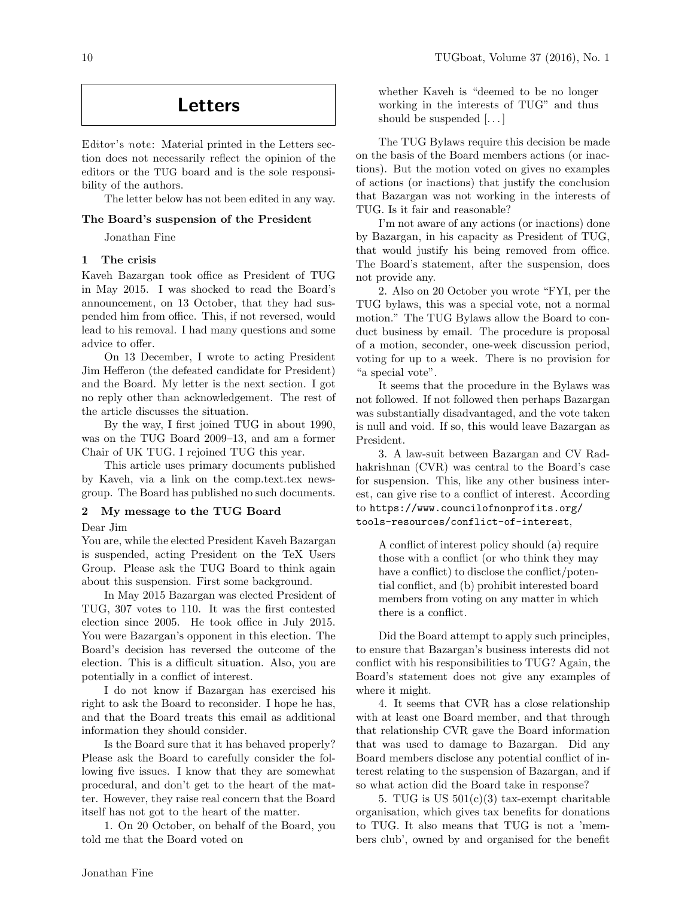# Letters

Editor's note: Material printed in the Letters section does not necessarily reflect the opinion of the editors or the TUG board and is the sole responsibility of the authors.

The letter below has not been edited in any way.

# The Board's suspension of the President

Jonathan Fine

# 1 The crisis

Kaveh Bazargan took office as President of TUG in May 2015. I was shocked to read the Board's announcement, on 13 October, that they had suspended him from office. This, if not reversed, would lead to his removal. I had many questions and some advice to offer.

On 13 December, I wrote to acting President Jim Hefferon (the defeated candidate for President) and the Board. My letter is the next section. I got no reply other than acknowledgement. The rest of the article discusses the situation.

By the way, I first joined TUG in about 1990, was on the TUG Board 2009–13, and am a former Chair of UK TUG. I rejoined TUG this year.

This article uses primary documents published by Kaveh, via a link on the comp.text.tex newsgroup. The Board has published no such documents.

# 2 My message to the TUG Board

Dear Jim

You are, while the elected President Kaveh Bazargan is suspended, acting President on the TeX Users Group. Please ask the TUG Board to think again about this suspension. First some background.

In May 2015 Bazargan was elected President of TUG, 307 votes to 110. It was the first contested election since 2005. He took office in July 2015. You were Bazargan's opponent in this election. The Board's decision has reversed the outcome of the election. This is a difficult situation. Also, you are potentially in a conflict of interest.

I do not know if Bazargan has exercised his right to ask the Board to reconsider. I hope he has, and that the Board treats this email as additional information they should consider.

Is the Board sure that it has behaved properly? Please ask the Board to carefully consider the following five issues. I know that they are somewhat procedural, and don't get to the heart of the matter. However, they raise real concern that the Board itself has not got to the heart of the matter.

1. On 20 October, on behalf of the Board, you told me that the Board voted on

whether Kaveh is "deemed to be no longer working in the interests of TUG" and thus should be suspended  $[...]$ 

The TUG Bylaws require this decision be made on the basis of the Board members actions (or inactions). But the motion voted on gives no examples of actions (or inactions) that justify the conclusion that Bazargan was not working in the interests of TUG. Is it fair and reasonable?

I'm not aware of any actions (or inactions) done by Bazargan, in his capacity as President of TUG, that would justify his being removed from office. The Board's statement, after the suspension, does not provide any.

2. Also on 20 October you wrote "FYI, per the TUG bylaws, this was a special vote, not a normal motion." The TUG Bylaws allow the Board to conduct business by email. The procedure is proposal of a motion, seconder, one-week discussion period, voting for up to a week. There is no provision for "a special vote".

It seems that the procedure in the Bylaws was not followed. If not followed then perhaps Bazargan was substantially disadvantaged, and the vote taken is null and void. If so, this would leave Bazargan as President.

3. A law-suit between Bazargan and CV Radhakrishnan (CVR) was central to the Board's case for suspension. This, like any other business interest, can give rise to a conflict of interest. According to https://www.councilofnonprofits.org/ tools-resources/conflict-of-interest,

A conflict of interest policy should (a) require those with a conflict (or who think they may have a conflict) to disclose the conflict/potential conflict, and (b) prohibit interested board members from voting on any matter in which there is a conflict.

Did the Board attempt to apply such principles, to ensure that Bazargan's business interests did not conflict with his responsibilities to TUG? Again, the Board's statement does not give any examples of where it might.

4. It seems that CVR has a close relationship with at least one Board member, and that through that relationship CVR gave the Board information that was used to damage to Bazargan. Did any Board members disclose any potential conflict of interest relating to the suspension of Bazargan, and if so what action did the Board take in response?

5. TUG is US  $501(c)(3)$  tax-exempt charitable organisation, which gives tax benefits for donations to TUG. It also means that TUG is not a 'members club', owned by and organised for the benefit